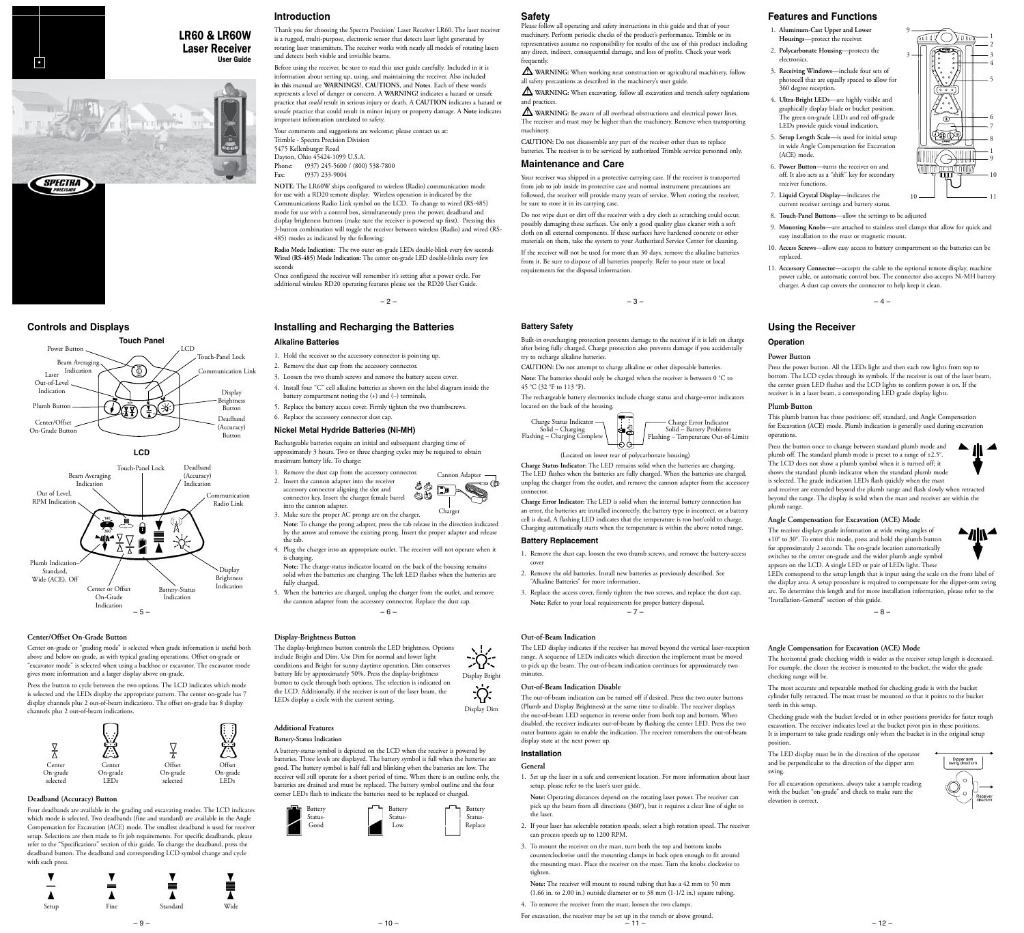# User Guide •

LR60 & LR60W **Laser Receiver**<br>User Guide



**Touch Panel** Power Button LCD







#### **Center/Offset On-Grade Button**

Center on-grade or "grading mode" is selected when grade information is useful both above and below on-grade, as with typical grading operations. Offset on-grade or "excavator mode" is selected when using a backhoe or excavator. The excavator mode gives more information and a larger display above on-grade.

Press the button to cycle between the two options. The LCD indicates which mode is selected and the LEDs display the appropriate pattern. The center on-grade has 7 display channels plus 2 out-of-beam indications. The offset on-grade has 8 display channels plus 2 out-of-beam indications.



#### **Deadband (Accuracy) Button**

Four deadbands are available in the grading and excavating modes. The LCD indicates which mode is selected. Two deadbands (fine and standard) are available in the Angle Compensation for Excavation (ACE) mode. The smallest deadband is used for receiver setup. Selections are then made to fit job requirements. For specific deadbands, please refer to the "Specifications" section of this guide. To change the deadband, press the deadband button. The deadband and corresponding LCD symbol change and cycle with each press.



– 9 –

#### **Introduction**

Thank you for choosing the Spectra Precision® Laser Receiver LR60. The laser receiver is a rugged, multi-purpose, electronic sensor that detects laser light generated by rotating laser transmitters. The receiver works with nearly all models of rotating lasers and detects both visible and invisible beams.

Before using the receiver, be sure to read this user guide carefully. Included in it is information about setting up, using, and maintaining the receiver. Also includ**ed in thi**s manual are **WARNINGS!**, **CAUTIONS**, and **Notes**. Each of these words represents a level of danger or concern. A **WARNING!** indicates a hazard or unsafe practice that *could* result in serious injury or death. A **CAUTION** indicates a hazard or unsafe practice that could result in minor injury or property damage. A **Note** indicates important information unrelated to safety.

Your comments and suggestions are welcome; please contact us at: Trimble - Spectra Precision Division 5475 Kellenburger Road Dayton, Ohio 45424-1099 U.S.A.

Phone: (937) 245-5600 / (800) 538-7800<br>Fax: (937) 233-9004  $(937)$  233-9004

**NOTE:** The LR60W ships configured to wireless (Radio) communication mode for use with a RD20 remote display. Wireless operation is indicated by the Communications Radio Link symbol on the LCD. To change to wired (RS-485) mode for use with a control box, simultaneously press the power, deadband and display brightness buttons (make sure the receiver is powered up first). Pressing this 3-button combination will toggle the receiver between wireless (Radio) and wired (RS-485) modes as indicated by the following:

**Radio Mode Indication:** The two outer on-grade LEDs double-blink every few seconds **Wired (RS-485) Mode Indication:** The center on-grade LED double-blinks every few seconds

Once configured the receiver will remember it's setting after a power cycle. For additional wireless RD20 operating features please see the RD20 User Guide.

 $-2-$ 

#### **Controls and Displays Battery Safety Installing and Recharging the Batteries Alkaline Batteries**

- 1. Hold the receiver so the accessory connector is pointing up.
- 2. Remove the dust cap from the accessory connector.
- 3. Loosen the two thumb screws and remove the battery access cover.
- 4. Install four "C" cell alkaline batteries as shown on the label diagram inside the
- battery compartment noting the (+) and (–) terminals. 5. Replace the battery access cover. Firmly tighten the two thumbscrews.
- 6. Replace the accessory connector dust cap.

#### **Nickel Metal Hydride Batteries (Ni-MH)**

Rechargeable batteries require an initial and subsequent charging time of approximately 3 hours. Two or three charging cycles may be required to obtain maximum battery life. To charge:

- 1. Remove the dust cap from the accessory connector. 2. Insert the cannon adapter into the receiver accessory connector aligning the slot and or. Cannon Adapter
	- connector key. Insert the charger female barrel into the cannon adapter.
- 3. Make sure the proper AC prongs are on the charger. **Note:** To change the prong adapter, press the tab release in the direction indicated by the arrow and remove the existing prong. Insert the proper adapter and release the tab. Charger
- 4. Plug the charger into an appropriate outlet. The receiver will not operate when it is charging.

**Note:** The charge-status indicator located on the back of the housing remains solid when the batteries are charging. The left LED flashes when the batteries are fully charged.

 $-6-$ 5. When the batteries are charged, unplug the charger from the outlet, and remove the cannon adapter from the accessory connector. Replace the dust cap.

#### **Display-Brightness Button**

The display-brightness button controls the LED brightness. Options include Bright and Dim. Use Dim for normal and lower light  $\sum_{i=1}^{n}$ conditions and Bright for sunny daytime operation. Dim conserves battery life by approximately 50%. Press the display-brightness Display Bright button to cycle through both options. The selection is indicated on ·ѷ the LCD. Additionally, if the receiver is out of the laser beam, the LEDs display a circle with the current setting. Display Dim

# **Additional Features**

**Battery-Status Indication**

A battery-status symbol is depicted on the LCD when the receiver is powered by batteries. Three levels are displayed. The battery symbol is full when the batteries are good. The battery symbol is half full and blinking when the batteries are low. The receiver will still operate for a short period of time. When there is an outline only, the batteries are drained and must be replaced. The battery symbol outline and the four corner LEDs flash to indicate the batteries need to be replaced or charged.



 $-10-$ 

## **Safety**

Please follow all operating and safety instructions in this guide and that of your machinery. Perform periodic checks of the product's performance. Trimble or its representatives assume no responsibility for results of the use of this product including any direct, indirect, consequential damage, and loss of profits. Check your work frequently

 **WARNING:** When working near construction or agricultural machinery, follow all safety precautions as described in the machinery's user guide.

 **WARNING:** When excavating, follow all excavation and trench safety regulations and practices.

 **WARNING:** Be aware of all overhead obstructions and electrical power lines. The receiver and mast may be higher than the machinery. Remove when transporting machinery.

**CAUTION:** Do not disassemble any part of the receiver other than to replace batteries. The receiver is to be serviced by authorized Trimble service personnel only.

#### **Maintenance and Care**

Your receiver was shipped in a protective carrying case. If the receiver is transported from job to job inside its protective case and normal instrument precautions are followed, the receiver will provide many years of service. When storing the receiver, be sure to store it in its carrying case.

Do not wipe dust or dirt off the receiver with a dry cloth as scratching could occur, possibly damaging these surfaces. Use only a good quality glass cleaner with a soft cloth on all external components. If these surfaces have hardened concrete or other materials on them, take the system to your Authorized Service Center for cleaning. If the receiver will not be used for more than 30 days, remove the alkaline batteries from it. Be sure to dispose of all batteries properly. Refer to your state or local requirements for the disposal information.

Built-in overcharging protection prevents damage to the receiver if it is left on charge after being fully charged. Charge protection also prevents damage if you accidentally try to recharge alkaline batteries.

**CAUTION:** Do not attempt to charge alkaline or other disposable batteries. **Note:** The batteries should only be charged when the receiver is between 0 °C to

45 °C (32 °F to 113 °F). The rechargeable battery electronics include charge status and charge-error indicators



 $\begin{bmatrix} 1 & 0 & 0 \\ 0 & 0 & 0 \\ 0 & 0 & 0 \end{bmatrix}$ Charge Error Indicator Solid – Battery Problems Flashing – Temperature Out-of-Limits

(Located on lower rear of polycarbonate housing)

**Charge Status Indicator:** The LED remains solid when the batteries are charging. The LED flashes when the batteries are fully charged. When the batteries are charged, unplug the charger from the outlet, and remove the cannon adapter from the accessory connector.

**Charge Error Indicator:** The LED is solid when the internal battery connection has an error, the batteries are installed incorrectly, the battery type is incorrect, or a battery cell is dead. A flashing LED indicates that the temperature is too hot/cold to charge. Charging automatically starts when the temperature is within the above noted range.

## **Battery Replacement**

- 1. Remove the dust cap, loosen the two thumb screws, and remove the battery-access cover
- 2. Remove the old batteries. Install new batteries as previously described. See "Alkaline Batteries" for more information.
- $-7 -$ 3. Replace the access cover, firmly tighten the two screws, and replace the dust cap. **Note:** Refer to your local requirements for proper battery disposal.

#### **Out-of-Beam Indication**

The LED display indicates if the receiver has moved beyond the vertical laser-reception range. A sequence of LEDs indicates which direction the implement must be moved to pick up the beam. The out-of-beam indication continues for approximately two minutes.

#### **Out-of-Beam Indication Disable**

The out-of-beam indication can be turned off if desired. Press the two outer buttons (Plumb and Display Brightness) at the same time to disable. The receiver displays the out-of-beam LED sequence in reverse order from both top and bottom. When disabled, the receiver indicates out-of-beam by flashing the center LED. Press the two outer buttons again to enable the indication. The receiver remembers the out-of-beam display state at the next power up.

# **Installation**

- **General**
- 1. Set up the laser in a safe and convenient location. For more information about laser setup, please refer to the laser's user guide.
- **Note:** Operating distances depend on the rotating laser power. The receiver can pick up the beam from all directions (360°), but it requires a clear line of sight to the laser.
- 2. If your laser has selectable rotation speeds, select a high rotation speed. The receiver can process speeds up to 1200 RPM.
- 3. To mount the receiver on the mast, turn both the top and bottom knobs counterclockwise until the mounting clamps in back open enough to fit around the mounting mast. Place the receiver on the mast. Turn the knobs clockwise to tighten.
- **Note:** The receiver will mount to round tubing that has a 42 mm to 50 mm (1.66 in. to 2.00 in.) outside diameter or to 38 mm (1-1/2 in.) square tubing.
- 4. To remove the receiver from the mast, loosen the two clamps.

For excavation, the receiver may be set up in the trench or above ground.<br> $-11-$ 

# **Features and Functions**

- 1. **Aluminum-Cast Upper and Lower Housings**—protect the receiver.
- 2. **Polycarbonate Housing**—protects the electronics.
- 3. **Receiving Windows**—include four sets of photocell that are equally spaced to allow for 360 degree reception.
- 4. **Ultra-Bright LEDs**—are highly visible and graphically display blade or bucket position. The green on-grade LEDs and red off-grade LEDs provide quick visual indication.
- 5. **Setup Length Scale**—is used for initial setup in wide Angle Compensation for Excavation (ACE) mode.
- 6. **Power Button**—turns the receiver on and off. It also acts as a "shift" key for secondary receiver functions.
- 7. **Liquid Crystal Display**—indicates the current receiver settings and battery status.  $10$   $\longrightarrow$   $11$
- 8. **Touch-Panel Buttons**—allow the settings to be adjusted
- 9. **Mounting Knobs**—are attached to stainless steel clamps that allow for quick and easy installation to the mast or magnetic mount.

9

uull

**THE SHILL** nnnn 面

3

10 9

◢

 $\blacktriangle$  //  $\blacktriangle$ 

Dipper arm<br>swing direction

7 6

1

8

- 10. **Access Screws**—allow easy access to battery compartment so the batteries can be replaced.
- 11. **Accessory Connector**—accepts the cable to the optional remote display, machine power cable, or automatic control box. The connector also accepts Ni-MH battery charger. A dust cap covers the connector to help keep it clean.

 $-3-$ 

#### **Using the Receiver**

#### **Operation**

#### **Power Button**

Press the power button. All the LEDs light and then each row lights from top to bottom. The LCD cycles through its symbols. If the receiver is out of the laser beam, the center green LED flashes and the LCD lights to confirm power is on. If the receiver is in a laser beam, a corresponding LED grade display lights.

#### **Plumb Button**

This plumb button has three positions: off, standard, and Angle Compensation for Excavation (ACE) mode. Plumb indication is generally used during excavation operations.

Press the button once to change between standard plumb mode and plumb off. The standard plumb mode is preset to a range of ±2.5°. The LCD does not show a plumb symbol when it is turned off; it shows the standard plumb indicator when the standard plumb mode is selected. The grade indication LEDs flash quickly when the mast and receiver are extended beyond the plumb range and flash slowly when retracted beyond the range. The display is solid when the mast and receiver are within the plumb range.

**Angle Compensation for Excavation (ACE) Mode** The receiver displays grade information at wide swing angles of ±10° to 30°. To enter this mode, press and hold the plumb button for approximately 2 seconds. The on-grade location automatically switches to the center on-grade and the wider plumb angle symbol appears on the LCD. A single LED or pair of LEDs light. These

**Angle Compensation for Excavation (ACE) Mode**

The LED display must be in the direction of the operator and be perpendicular to the direction of the dipper arm

For all excavation operations, always take a sample reading with the bucket "on-grade" and check to make sure the

"Installation-General" section of this guide.

checking range will be.

teeth in this setup.

elevation is correct.

position.

swing.

– 8 –

The horizontal grade checking width is wider as the receiver setup length is decreased. For example, the closer the receiver is mounted to the bucket, the wider the grade

Checking grade with the bucket leveled or in other positions provides for faster rough excavation. The receiver indicates level at the bucket pivot pin in these positions. It is important to take grade readings only when the bucket is in the original setup

The most accurate and repeatable method for checking grade is with the bucket cylinder fully retracted. The mast must be mounted so that it points to the bucket

LEDs correspond to the setup length that is input using the scale on the front label of the display area. A setup procedure is required to compensate for the dipper-arm swing arc. To determine this length and for more installation information, please refer to the

 $-12-$